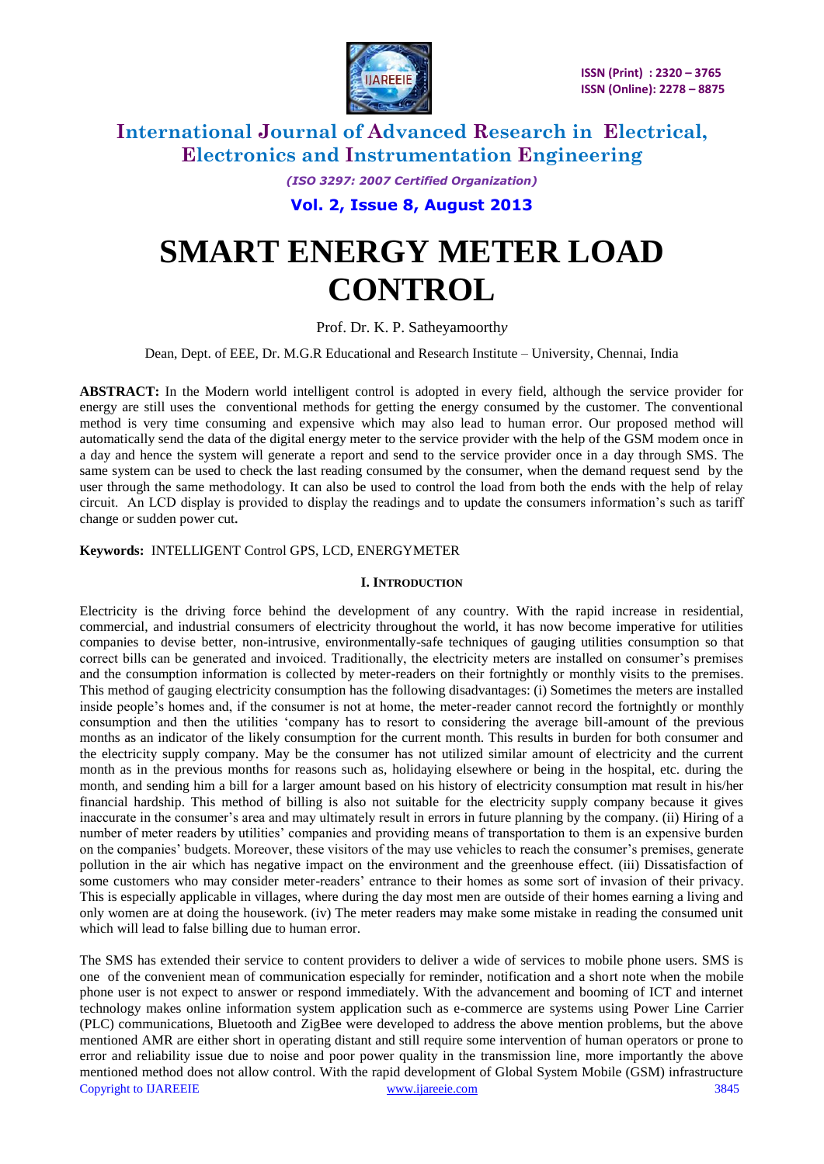

> *(ISO 3297: 2007 Certified Organization)* **Vol. 2, Issue 8, August 2013**

# **SMART ENERGY METER LOAD CONTROL**

Prof. Dr. K. P. Satheyamoorth*y*

Dean, Dept. of EEE, Dr. M.G.R Educational and Research Institute – University, Chennai, India

**ABSTRACT:** In the Modern world intelligent control is adopted in every field, although the service provider for energy are still uses the conventional methods for getting the energy consumed by the customer. The conventional method is very time consuming and expensive which may also lead to human error. Our proposed method will automatically send the data of the digital energy meter to the service provider with the help of the GSM modem once in a day and hence the system will generate a report and send to the service provider once in a day through SMS. The same system can be used to check the last reading consumed by the consumer, when the demand request send by the user through the same methodology. It can also be used to control the load from both the ends with the help of relay circuit. An LCD display is provided to display the readings and to update the consumers information"s such as tariff change or sudden power cut**.**

## **Keywords:** INTELLIGENT Control GPS, LCD, ENERGYMETER

#### **I. INTRODUCTION**

Electricity is the driving force behind the development of any country. With the rapid increase in residential, commercial, and industrial consumers of electricity throughout the world, it has now become imperative for utilities companies to devise better, non-intrusive, environmentally-safe techniques of gauging utilities consumption so that correct bills can be generated and invoiced. Traditionally, the electricity meters are installed on consumer's premises and the consumption information is collected by meter-readers on their fortnightly or monthly visits to the premises. This method of gauging electricity consumption has the following disadvantages: (i) Sometimes the meters are installed inside people"s homes and, if the consumer is not at home, the meter-reader cannot record the fortnightly or monthly consumption and then the utilities "company has to resort to considering the average bill-amount of the previous months as an indicator of the likely consumption for the current month. This results in burden for both consumer and the electricity supply company. May be the consumer has not utilized similar amount of electricity and the current month as in the previous months for reasons such as, holidaying elsewhere or being in the hospital, etc. during the month, and sending him a bill for a larger amount based on his history of electricity consumption mat result in his/her financial hardship. This method of billing is also not suitable for the electricity supply company because it gives inaccurate in the consumer's area and may ultimately result in errors in future planning by the company. (ii) Hiring of a number of meter readers by utilities" companies and providing means of transportation to them is an expensive burden on the companies" budgets. Moreover, these visitors of the may use vehicles to reach the consumer"s premises, generate pollution in the air which has negative impact on the environment and the greenhouse effect. (iii) Dissatisfaction of some customers who may consider meter-readers" entrance to their homes as some sort of invasion of their privacy. This is especially applicable in villages, where during the day most men are outside of their homes earning a living and only women are at doing the housework. (iv) The meter readers may make some mistake in reading the consumed unit which will lead to false billing due to human error.

Copyright to IJAREEIE [www.ijareeie.com](http://www.ijareeie.com/) 3845 The SMS has extended their service to content providers to deliver a wide of services to mobile phone users. SMS is one of the convenient mean of communication especially for reminder, notification and a short note when the mobile phone user is not expect to answer or respond immediately. With the advancement and booming of ICT and internet technology makes online information system application such as e-commerce are systems using Power Line Carrier (PLC) communications, Bluetooth and ZigBee were developed to address the above mention problems, but the above mentioned AMR are either short in operating distant and still require some intervention of human operators or prone to error and reliability issue due to noise and poor power quality in the transmission line, more importantly the above mentioned method does not allow control. With the rapid development of Global System Mobile (GSM) infrastructure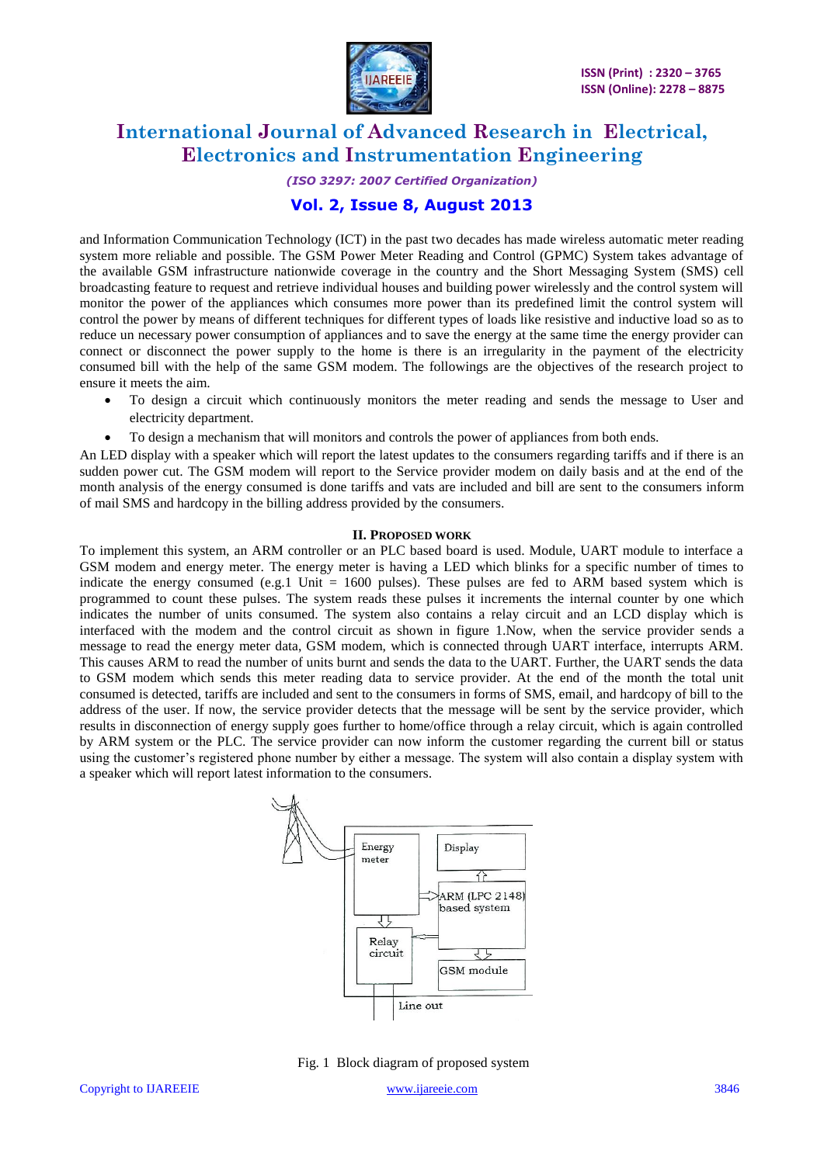

## *(ISO 3297: 2007 Certified Organization)*

## **Vol. 2, Issue 8, August 2013**

and Information Communication Technology (ICT) in the past two decades has made wireless automatic meter reading system more reliable and possible. The GSM Power Meter Reading and Control (GPMC) System takes advantage of the available GSM infrastructure nationwide coverage in the country and the Short Messaging System (SMS) cell broadcasting feature to request and retrieve individual houses and building power wirelessly and the control system will monitor the power of the appliances which consumes more power than its predefined limit the control system will control the power by means of different techniques for different types of loads like resistive and inductive load so as to reduce un necessary power consumption of appliances and to save the energy at the same time the energy provider can connect or disconnect the power supply to the home is there is an irregularity in the payment of the electricity consumed bill with the help of the same GSM modem. The followings are the objectives of the research project to ensure it meets the aim.

- To design a circuit which continuously monitors the meter reading and sends the message to User and electricity department.
- To design a mechanism that will monitors and controls the power of appliances from both ends.

An LED display with a speaker which will report the latest updates to the consumers regarding tariffs and if there is an sudden power cut. The GSM modem will report to the Service provider modem on daily basis and at the end of the month analysis of the energy consumed is done tariffs and vats are included and bill are sent to the consumers inform of mail SMS and hardcopy in the billing address provided by the consumers.

#### **II. PROPOSED WORK**

To implement this system, an ARM controller or an PLC based board is used. Module, UART module to interface a GSM modem and energy meter. The energy meter is having a LED which blinks for a specific number of times to indicate the energy consumed (e.g.1 Unit  $= 1600$  pulses). These pulses are fed to ARM based system which is programmed to count these pulses. The system reads these pulses it increments the internal counter by one which indicates the number of units consumed. The system also contains a relay circuit and an LCD display which is interfaced with the modem and the control circuit as shown in figure 1.Now, when the service provider sends a message to read the energy meter data, GSM modem, which is connected through UART interface, interrupts ARM. This causes ARM to read the number of units burnt and sends the data to the UART. Further, the UART sends the data to GSM modem which sends this meter reading data to service provider. At the end of the month the total unit consumed is detected, tariffs are included and sent to the consumers in forms of SMS, email, and hardcopy of bill to the address of the user. If now, the service provider detects that the message will be sent by the service provider, which results in disconnection of energy supply goes further to home/office through a relay circuit, which is again controlled by ARM system or the PLC. The service provider can now inform the customer regarding the current bill or status using the customer"s registered phone number by either a message. The system will also contain a display system with a speaker which will report latest information to the consumers.



Fig. 1 Block diagram of proposed system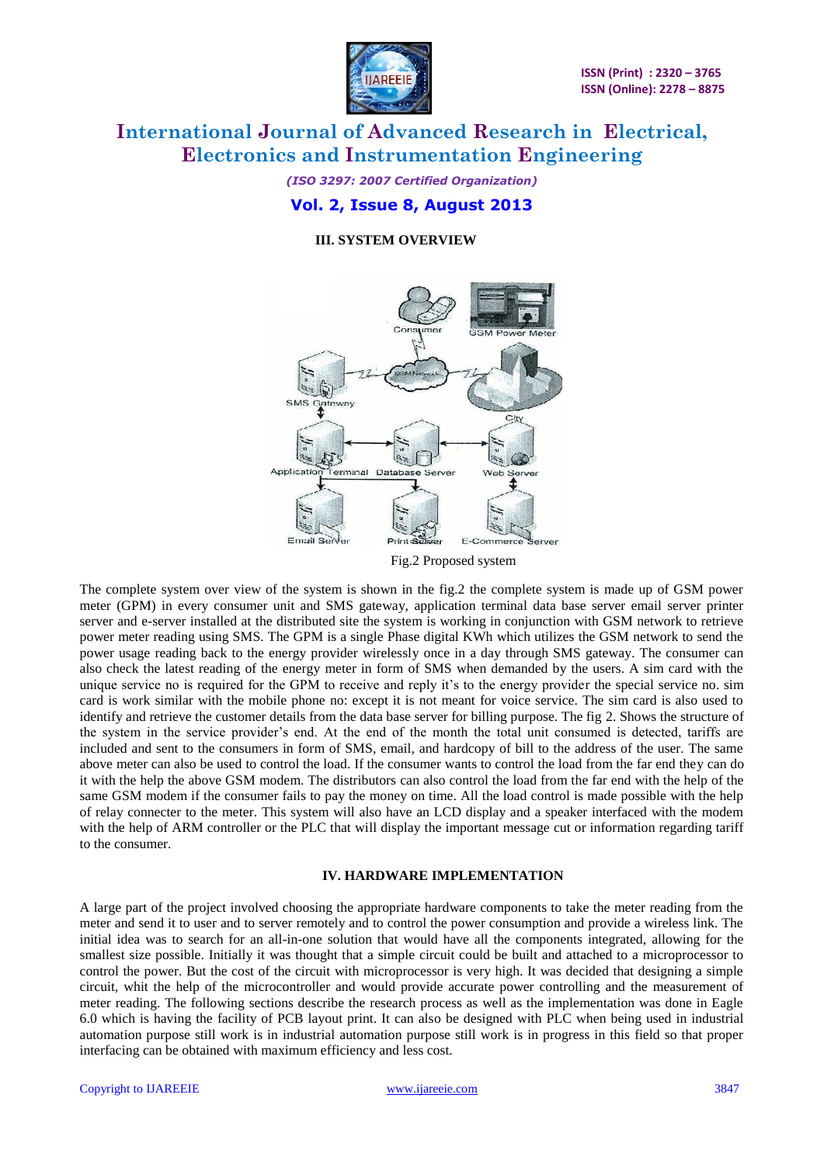

## *(ISO 3297: 2007 Certified Organization)* **Vol. 2, Issue 8, August 2013**

## **III. SYSTEM OVERVIEW**



Fig.2 Proposed system

The complete system over view of the system is shown in the fig.2 the complete system is made up of GSM power meter (GPM) in every consumer unit and SMS gateway, application terminal data base server email server printer server and e-server installed at the distributed site the system is working in conjunction with GSM network to retrieve power meter reading using SMS. The GPM is a single Phase digital KWh which utilizes the GSM network to send the power usage reading back to the energy provider wirelessly once in a day through SMS gateway. The consumer can also check the latest reading of the energy meter in form of SMS when demanded by the users. A sim card with the unique service no is required for the GPM to receive and reply it's to the energy provider the special service no. sim card is work similar with the mobile phone no: except it is not meant for voice service. The sim card is also used to identify and retrieve the customer details from the data base server for billing purpose. The fig 2. Shows the structure of the system in the service provider"s end. At the end of the month the total unit consumed is detected, tariffs are included and sent to the consumers in form of SMS, email, and hardcopy of bill to the address of the user. The same above meter can also be used to control the load. If the consumer wants to control the load from the far end they can do it with the help the above GSM modem. The distributors can also control the load from the far end with the help of the same GSM modem if the consumer fails to pay the money on time. All the load control is made possible with the help of relay connecter to the meter. This system will also have an LCD display and a speaker interfaced with the modem with the help of ARM controller or the PLC that will display the important message cut or information regarding tariff to the consumer.

## **IV. HARDWARE IMPLEMENTATION**

A large part of the project involved choosing the appropriate hardware components to take the meter reading from the meter and send it to user and to server remotely and to control the power consumption and provide a wireless link. The initial idea was to search for an all-in-one solution that would have all the components integrated, allowing for the smallest size possible. Initially it was thought that a simple circuit could be built and attached to a microprocessor to control the power. But the cost of the circuit with microprocessor is very high. It was decided that designing a simple circuit, whit the help of the microcontroller and would provide accurate power controlling and the measurement of meter reading. The following sections describe the research process as well as the implementation was done in Eagle 6.0 which is having the facility of PCB layout print. It can also be designed with PLC when being used in industrial automation purpose still work is in industrial automation purpose still work is in progress in this field so that proper interfacing can be obtained with maximum efficiency and less cost.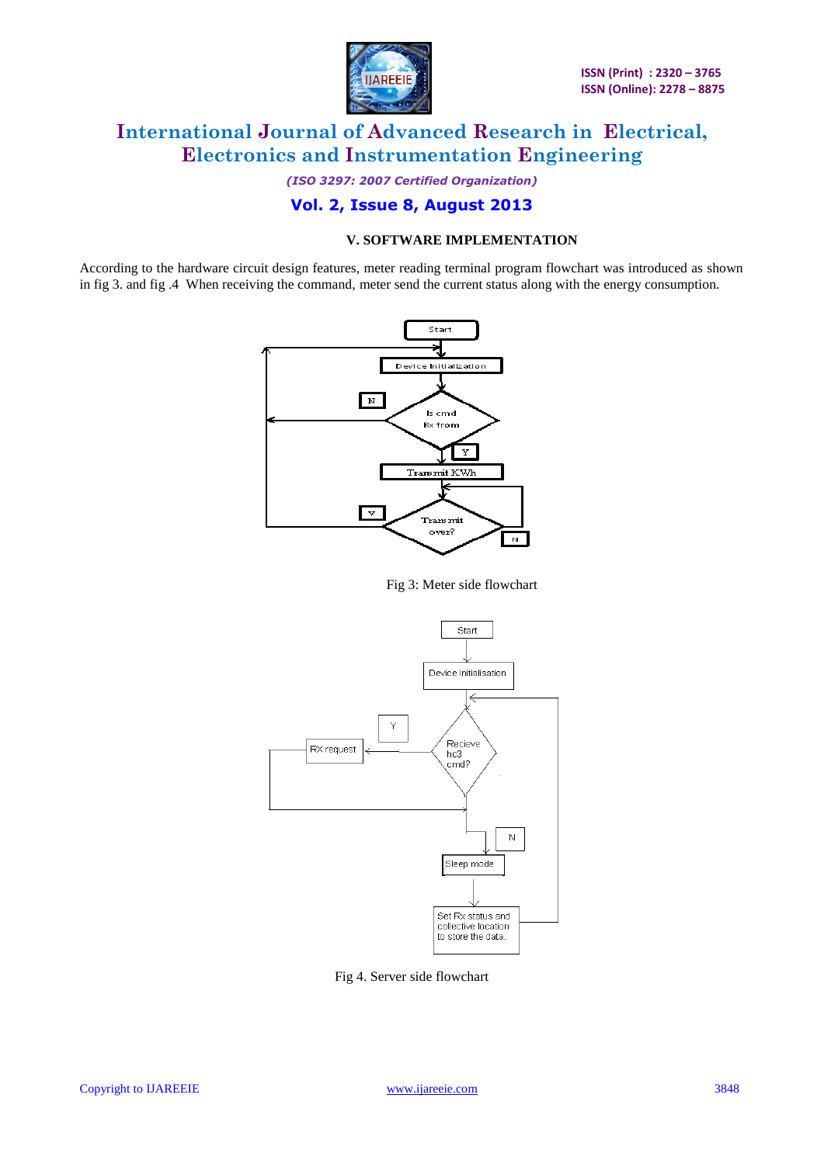

*(ISO 3297: 2007 Certified Organization)*

## **Vol. 2, Issue 8, August 2013**

## **V. SOFTWARE IMPLEMENTATION**

According to the hardware circuit design features, meter reading terminal program flowchart was introduced as shown in fig 3. and fig .4 When receiving the command, meter send the current status along with the energy consumption.



Fig 3: Meter side flowchart



Fig 4. Server side flowchart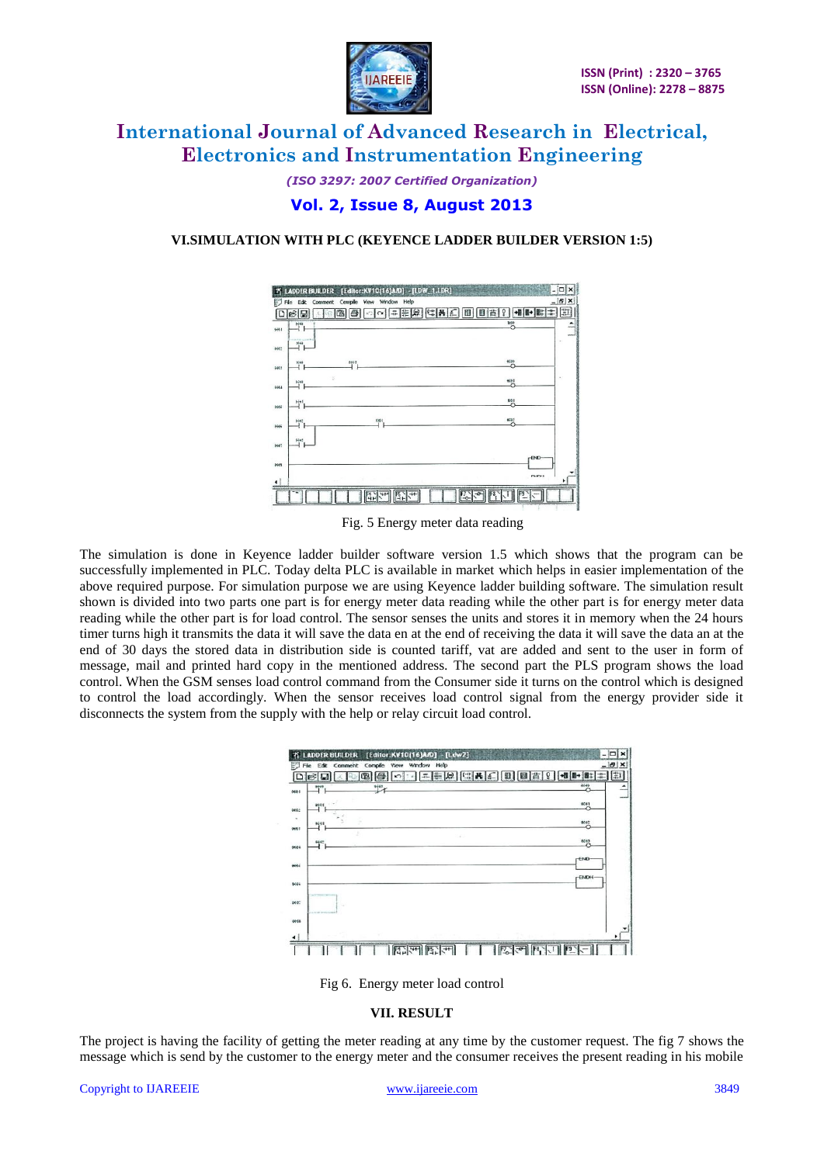

*(ISO 3297: 2007 Certified Organization)* **Vol. 2, Issue 8, August 2013**

## **VI.SIMULATION WITH PLC (KEYENCE LADDER BUILDER VERSION 1:5)**



Fig. 5 Energy meter data reading

The simulation is done in Keyence ladder builder software version 1.5 which shows that the program can be successfully implemented in PLC. Today delta PLC is available in market which helps in easier implementation of the above required purpose. For simulation purpose we are using Keyence ladder building software. The simulation result shown is divided into two parts one part is for energy meter data reading while the other part is for energy meter data reading while the other part is for load control. The sensor senses the units and stores it in memory when the 24 hours timer turns high it transmits the data it will save the data en at the end of receiving the data it will save the data an at the end of 30 days the stored data in distribution side is counted tariff, vat are added and sent to the user in form of message, mail and printed hard copy in the mentioned address. The second part the PLS program shows the load control. When the GSM senses load control command from the Consumer side it turns on the control which is designed to control the load accordingly. When the sensor receives load control signal from the energy provider side it disconnects the system from the supply with the help or relay circuit load control.

| $+43$                        | ■■●■<br>609)          |
|------------------------------|-----------------------|
|                              | 9661                  |
| 9541                         | $M$ <sup>2</sup><br>× |
| $\sim$<br>6442               | 6243                  |
|                              | FAD                   |
|                              | <b>FENDH</b>          |
|                              |                       |
| can be able to be the state. |                       |

Fig 6. Energy meter load control

#### **VII. RESULT**

The project is having the facility of getting the meter reading at any time by the customer request. The fig 7 shows the message which is send by the customer to the energy meter and the consumer receives the present reading in his mobile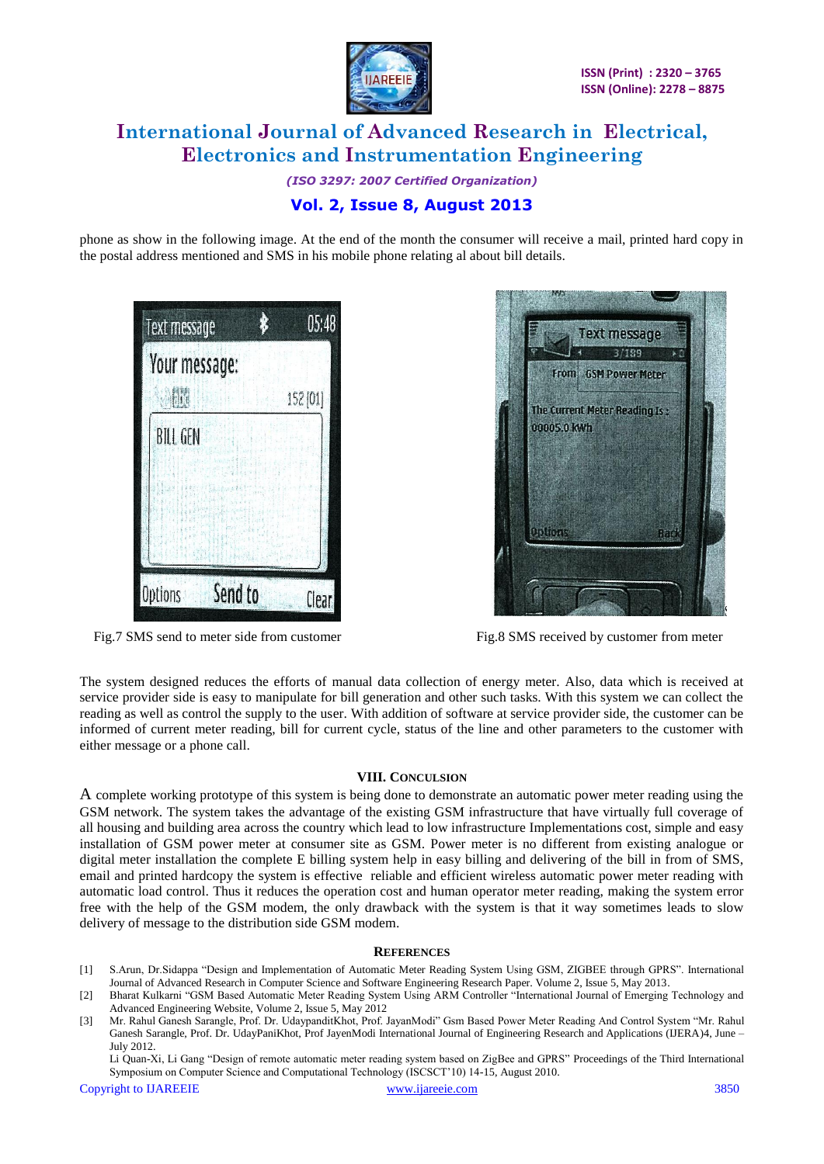

*(ISO 3297: 2007 Certified Organization)* **Vol. 2, Issue 8, August 2013**

phone as show in the following image. At the end of the month the consumer will receive a mail, printed hard copy in the postal address mentioned and SMS in his mobile phone relating al about bill details.





Fig.7 SMS send to meter side from customer Fig.8 SMS received by customer from meter

The system designed reduces the efforts of manual data collection of energy meter. Also, data which is received at service provider side is easy to manipulate for bill generation and other such tasks. With this system we can collect the reading as well as control the supply to the user. With addition of software at service provider side, the customer can be informed of current meter reading, bill for current cycle, status of the line and other parameters to the customer with either message or a phone call.

## **VIII. CONCULSION**

A complete working prototype of this system is being done to demonstrate an automatic power meter reading using the GSM network. The system takes the advantage of the existing GSM infrastructure that have virtually full coverage of all housing and building area across the country which lead to low infrastructure Implementations cost, simple and easy installation of GSM power meter at consumer site as GSM. Power meter is no different from existing analogue or digital meter installation the complete E billing system help in easy billing and delivering of the bill in from of SMS, email and printed hardcopy the system is effective reliable and efficient wireless automatic power meter reading with automatic load control. Thus it reduces the operation cost and human operator meter reading, making the system error free with the help of the GSM modem, the only drawback with the system is that it way sometimes leads to slow delivery of message to the distribution side GSM modem.

#### **REFERENCES**

- [1] S.Arun, Dr.Sidappa "Design and Implementation of Automatic Meter Reading System Using GSM, ZIGBEE through GPRS". International Journal of Advanced Research in Computer Science and Software Engineering Research Paper. Volume 2, Issue 5, May 2013.
- [2] Bharat Kulkarni "GSM Based Automatic Meter Reading System Using ARM Controller "International Journal of Emerging Technology and Advanced Engineering Website, Volume 2, Issue 5, May 2012
- [3] Mr. Rahul Ganesh Sarangle, Prof. Dr. UdaypanditKhot, Prof. JayanModi" Gsm Based Power Meter Reading And Control System "Mr. Rahul Ganesh Sarangle, Prof. Dr. UdayPaniKhot, Prof JayenModi International Journal of Engineering Research and Applications (IJERA)4, June – July 2012.

Li Quan-Xi, Li Gang "Design of remote automatic meter reading system based on ZigBee and GPRS" Proceedings of the Third International Symposium on Computer Science and Computational Technology (ISCSCT"10) 14-15, August 2010.